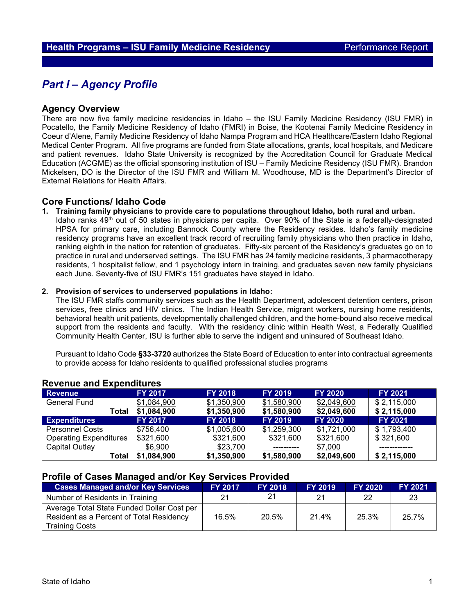# *Part I – Agency Profile*

#### **Agency Overview**

There are now five family medicine residencies in Idaho – the ISU Family Medicine Residency (ISU FMR) in Pocatello, the Family Medicine Residency of Idaho (FMRI) in Boise, the Kootenai Family Medicine Residency in Coeur d'Alene, Family Medicine Residency of Idaho Nampa Program and HCA Healthcare/Eastern Idaho Regional Medical Center Program. All five programs are funded from State allocations, grants, local hospitals, and Medicare and patient revenues. Idaho State University is recognized by the Accreditation Council for Graduate Medical Education (ACGME) as the official sponsoring institution of ISU – Family Medicine Residency (ISU FMR). Brandon Mickelsen, DO is the Director of the ISU FMR and William M. Woodhouse, MD is the Department's Director of External Relations for Health Affairs.

### **Core Functions/ Idaho Code**

**1. Training family physicians to provide care to populations throughout Idaho, both rural and urban.** 

Idaho ranks 49<sup>th</sup> out of 50 states in physicians per capita. Over 90% of the State is a federally-designated HPSA for primary care, including Bannock County where the Residency resides. Idaho's family medicine residency programs have an excellent track record of recruiting family physicians who then practice in Idaho, ranking eighth in the nation for retention of graduates. Fifty-six percent of the Residency's graduates go on to practice in rural and underserved settings. The ISU FMR has 24 family medicine residents, 3 pharmacotherapy residents, 1 hospitalist fellow, and 1 psychology intern in training, and graduates seven new family physicians each June. Seventy-five of ISU FMR's 151 graduates have stayed in Idaho.

#### **2. Provision of services to underserved populations in Idaho:**

The ISU FMR staffs community services such as the Health Department, adolescent detention centers, prison services, free clinics and HIV clinics. The Indian Health Service, migrant workers, nursing home residents, behavioral health unit patients, developmentally challenged children, and the home-bound also receive medical support from the residents and faculty. With the residency clinic within Health West, a Federally Qualified Community Health Center, ISU is further able to serve the indigent and uninsured of Southeast Idaho.

Pursuant to Idaho Code **§33-3720** authorizes the State Board of Education to enter into contractual agreements to provide access for Idaho residents to qualified professional studies programs

| Revellue and Experienties     |                |                |                |                |                |  |  |  |
|-------------------------------|----------------|----------------|----------------|----------------|----------------|--|--|--|
| <b>Revenue</b>                | <b>FY 2017</b> | <b>FY 2018</b> | <b>FY 2019</b> | <b>FY 2020</b> | <b>FY 2021</b> |  |  |  |
| General Fund                  | \$1,084,900    | \$1,350,900    | \$1,580,900    | \$2,049,600    | \$2,115,000    |  |  |  |
| Total                         | \$1,084,900    | \$1,350,900    | \$1,580,900    | \$2,049,600    | \$2,115,000    |  |  |  |
| <b>Expenditures</b>           | <b>FY 2017</b> | <b>FY 2018</b> | <b>FY 2019</b> | <b>FY 2020</b> | <b>FY 2021</b> |  |  |  |
| <b>Personnel Costs</b>        | \$756,400      | \$1,005,600    | \$1,259,300    | \$1,721,000    | \$1,793,400    |  |  |  |
| <b>Operating Expenditures</b> | \$321,600      | \$321,600      | \$321,600      | \$321,600      | \$321,600      |  |  |  |
| Capital Outlay                | \$6,900        | \$23,700       |                | \$7,000        |                |  |  |  |
| Total                         | \$1,084,900    | \$1,350,900    | \$1,580,900    | \$2,049,600    | \$2,115,000    |  |  |  |

# **Revenue and Expenditures**

#### **Profile of Cases Managed and/or Key Services Provided**

| <b>Cases Managed and/or Key Services</b>                                                                        | <b>FY 2017</b> | <b>FY 2018</b> | <b>FY 2019</b> | <b>FY 2020</b> | <b>FY 2021</b> |
|-----------------------------------------------------------------------------------------------------------------|----------------|----------------|----------------|----------------|----------------|
| Number of Residents in Training                                                                                 | 21             | 21             | 21             | 22             | -23            |
| Average Total State Funded Dollar Cost per<br>Resident as a Percent of Total Residency<br><b>Training Costs</b> | 16.5%          | 20.5%          | 21.4%          | 25.3%          | 25.7%          |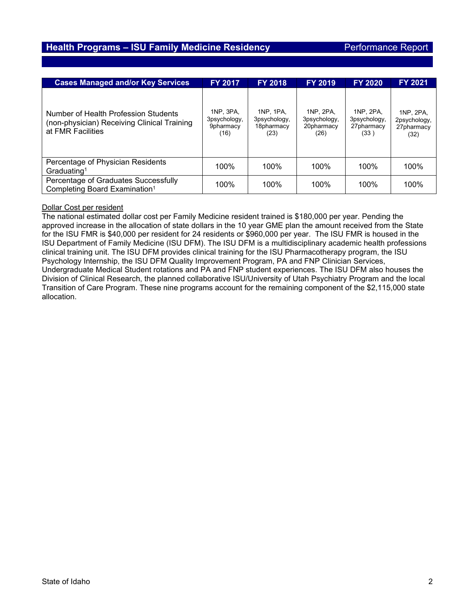# **Health Programs – ISU Family Medicine Residency** Performance Report

| <b>Cases Managed and/or Key Services</b>                                                                 | <b>FY 2017</b>                                 | <b>FY 2018</b>                                  | <b>FY 2019</b>                                  | <b>FY 2020</b>                                  | FY 2021                                         |
|----------------------------------------------------------------------------------------------------------|------------------------------------------------|-------------------------------------------------|-------------------------------------------------|-------------------------------------------------|-------------------------------------------------|
| Number of Health Profession Students<br>(non-physician) Receiving Clinical Training<br>at FMR Facilities | 1NP, 3PA,<br>3psychology,<br>9pharmacy<br>(16) | 1NP. 1PA.<br>3psychology,<br>18pharmacy<br>(23) | 1NP. 2PA.<br>3psychology,<br>20pharmacy<br>(26) | 1NP. 2PA.<br>3psychology,<br>27pharmacy<br>(33) | 1NP, 2PA,<br>2psychology,<br>27pharmacy<br>(32) |
| Percentage of Physician Residents<br>Graduating <sup>1</sup>                                             | 100%                                           | $100\%$                                         | $100\%$                                         | $100\%$                                         | 100%                                            |
| Percentage of Graduates Successfully<br>Completing Board Examination <sup>1</sup>                        | 100%                                           | 100%                                            | 100%                                            | 100%                                            | 100%                                            |

#### Dollar Cost per resident

The national estimated dollar cost per Family Medicine resident trained is \$180,000 per year. Pending the approved increase in the allocation of state dollars in the 10 year GME plan the amount received from the State for the ISU FMR is \$40,000 per resident for 24 residents or \$960,000 per year. The ISU FMR is housed in the ISU Department of Family Medicine (ISU DFM). The ISU DFM is a multidisciplinary academic health professions clinical training unit. The ISU DFM provides clinical training for the ISU Pharmacotherapy program, the ISU Psychology Internship, the ISU DFM Quality Improvement Program, PA and FNP Clinician Services, Undergraduate Medical Student rotations and PA and FNP student experiences. The ISU DFM also houses the Division of Clinical Research, the planned collaborative ISU/University of Utah Psychiatry Program and the local Transition of Care Program. These nine programs account for the remaining component of the \$2,115,000 state allocation.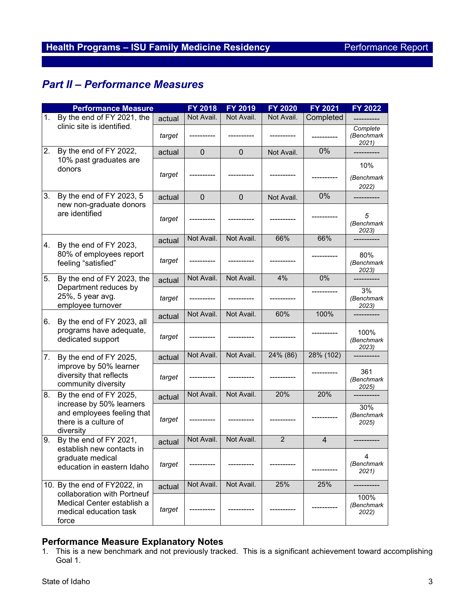# *Part II – Performance Measures*

| <b>Performance Measure</b> |                                                                                              |        | <b>FY 2018</b> | FY 2019        | <b>FY 2020</b> | FY 2021   | <b>FY 2022</b>                        |
|----------------------------|----------------------------------------------------------------------------------------------|--------|----------------|----------------|----------------|-----------|---------------------------------------|
| 1.                         | By the end of FY 2021, the                                                                   | actual | Not Avail.     | Not Avail.     | Not Avail.     | Completed |                                       |
|                            | clinic site is identified.                                                                   | target |                |                |                |           | Complete<br>(Benchmark<br>2021        |
| 2.                         | By the end of FY 2022,                                                                       |        | $\mathbf{0}$   | $\overline{0}$ | Not Avail.     | 0%        |                                       |
|                            | 10% past graduates are<br>donors                                                             | target |                |                |                |           | 10%<br>(Benchmark<br>2022)            |
| 3.                         | By the end of FY 2023, 5                                                                     | actual | $\mathbf 0$    | $\mathbf 0$    | Not Avail.     | 0%        |                                       |
|                            | new non-graduate donors<br>are identified                                                    | target |                |                |                |           | 5<br>(Benchmark<br>2023)              |
| 4.                         | By the end of FY 2023,                                                                       | actual | Not Avail.     | Not Avail.     | 66%            | 66%       |                                       |
|                            | 80% of employees report<br>feeling "satisfied"                                               | target |                |                |                |           | 80%<br>(Benchmark<br>2023)            |
| 5.                         | By the end of FY 2023, the                                                                   | actual | Not Avail.     | Not Avail.     | 4%             | $0\%$     |                                       |
|                            | Department reduces by<br>25%, 5 year avg.<br>employee turnover                               | target |                |                |                |           | 3%<br>(Benchmark<br>2023)             |
|                            |                                                                                              | actual | Not Avail.     | Not Avail.     | 60%            | 100%      |                                       |
| 6.                         | By the end of FY 2023, all<br>programs have adequate,<br>dedicated support                   | target |                |                |                |           | 100%<br>(Benchmark<br>2023)           |
| 7.                         | By the end of FY 2025,                                                                       | actual | Not Avail.     | Not Avail.     | 24% (86)       | 28% (102) |                                       |
|                            | improve by 50% learner<br>diversity that reflects<br>community diversity                     | target |                |                |                |           | 361<br>(Benchmark<br>2025)            |
| 8.                         | By the end of FY 2025,                                                                       | actual | Not Avail.     | Not Avail.     | 20%            | 20%       |                                       |
|                            | increase by 50% learners<br>and employees feeling that<br>there is a culture of<br>diversity | target |                |                |                |           | 30%<br>(Benchmark<br>2025)            |
| 9.                         | By the end of FY 2021,                                                                       | actual | Not Avail.     | Not Avail.     | $\overline{c}$ | 4         |                                       |
|                            | establish new contacts in<br>graduate medical<br>education in eastern Idaho                  | target |                |                |                |           | $\overline{4}$<br>(Benchmark<br>2021) |
|                            | 10. By the end of FY2022, in                                                                 | actual | Not Avail.     | Not Avail.     | 25%            | 25%       |                                       |
| force                      | collaboration with Portneuf<br>Medical Center establish a<br>medical education task          | target |                |                |                |           | 100%<br>(Benchmark<br>2022)           |

# **Performance Measure Explanatory Notes**

<sup>1.</sup> This is a new benchmark and not previously tracked. This is a significant achievement toward accomplishing Goal 1.